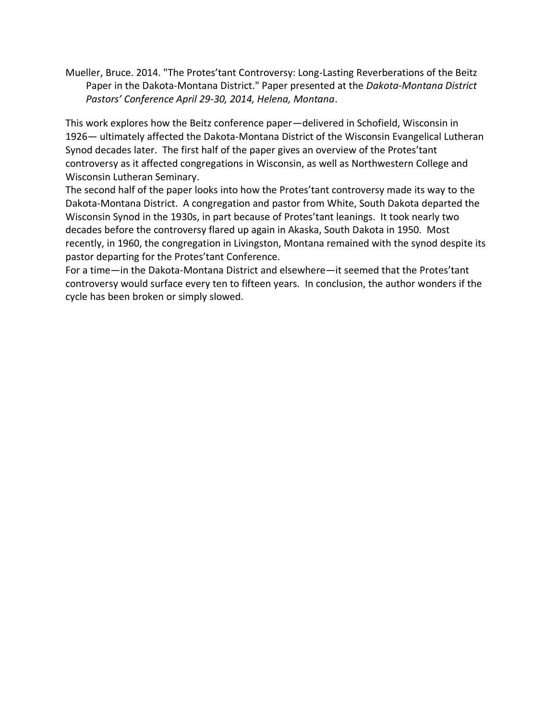Mueller, Bruce. 2014. "The Protes'tant Controversy: Long-Lasting Reverberations of the Beitz Paper in the Dakota-Montana District." Paper presented at the *Dakota-Montana District Pastors' Conference April 29-30, 2014, Helena, Montana*.

This work explores how the Beitz conference paper—delivered in Schofield, Wisconsin in 1926— ultimately affected the Dakota-Montana District of the Wisconsin Evangelical Lutheran Synod decades later. The first half of the paper gives an overview of the Protes'tant controversy as it affected congregations in Wisconsin, as well as Northwestern College and Wisconsin Lutheran Seminary.

The second half of the paper looks into how the Protes'tant controversy made its way to the Dakota-Montana District. A congregation and pastor from White, South Dakota departed the Wisconsin Synod in the 1930s, in part because of Protes'tant leanings. It took nearly two decades before the controversy flared up again in Akaska, South Dakota in 1950. Most recently, in 1960, the congregation in Livingston, Montana remained with the synod despite its pastor departing for the Protes'tant Conference.

For a time—in the Dakota-Montana District and elsewhere—it seemed that the Protes'tant controversy would surface every ten to fifteen years. In conclusion, the author wonders if the cycle has been broken or simply slowed.